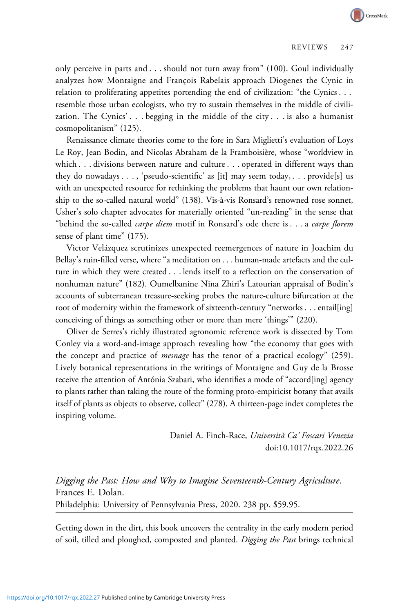only perceive in parts and . . . should not turn away from" (100). Goul individually analyzes how Montaigne and François Rabelais approach Diogenes the Cynic in relation to proliferating appetites portending the end of civilization: "the Cynics . . . resemble those urban ecologists, who try to sustain themselves in the middle of civilization. The Cynics' . . . begging in the middle of the city . . . is also a humanist cosmopolitanism" (125).

Renaissance climate theories come to the fore in Sara Miglietti's evaluation of Loys Le Roy, Jean Bodin, and Nicolas Abraham de la Framboisière, whose "worldview in which . . . divisions between nature and culture . . . operated in different ways than they do nowadays . . . , 'pseudo-scientific' as [it] may seem today, . . . provide[s] us with an unexpected resource for rethinking the problems that haunt our own relationship to the so-called natural world" (138). Vis-à-vis Ronsard's renowned rose sonnet, Usher's solo chapter advocates for materially oriented "un-reading" in the sense that "behind the so-called *carpe diem* motif in Ronsard's ode there is . . . a *carpe florem* sense of plant time" (175).

Victor Velázquez scrutinizes unexpected reemergences of nature in Joachim du Bellay's ruin-filled verse, where "a meditation on . . . human-made artefacts and the culture in which they were created . . . lends itself to a reflection on the conservation of nonhuman nature" (182). Oumelbanine Nina Zhiri's Latourian appraisal of Bodin's accounts of subterranean treasure-seeking probes the nature-culture bifurcation at the root of modernity within the framework of sixteenth-century "networks . . . entail[ing] conceiving of things as something other or more than mere 'things'" (220).

Oliver de Serres's richly illustrated agronomic reference work is dissected by Tom Conley via a word-and-image approach revealing how "the economy that goes with the concept and practice of *mesnage* has the tenor of a practical ecology" (259). Lively botanical representations in the writings of Montaigne and Guy de la Brosse receive the attention of Antónia Szabari, who identifies a mode of "accord[ing] agency to plants rather than taking the route of the forming proto-empiricist botany that avails itself of plants as objects to observe, collect" (278). A thirteen-page index completes the inspiring volume.

> Daniel A. Finch-Race, Università Ca' Foscari Venezia doi:10.1017/rqx.2022.26

Digging the Past: How and Why to Imagine Seventeenth-Century Agriculture. Frances E. Dolan. Philadelphia: University of Pennsylvania Press, 2020. 238 pp. \$59.95.

Getting down in the dirt, this book uncovers the centrality in the early modern period of soil, tilled and ploughed, composted and planted. Digging the Past brings technical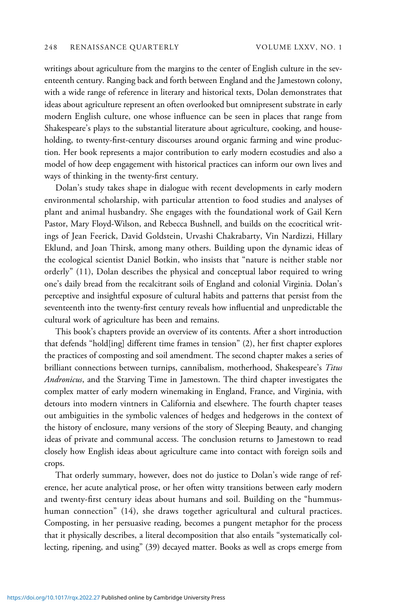writings about agriculture from the margins to the center of English culture in the seventeenth century. Ranging back and forth between England and the Jamestown colony, with a wide range of reference in literary and historical texts, Dolan demonstrates that ideas about agriculture represent an often overlooked but omnipresent substrate in early modern English culture, one whose influence can be seen in places that range from Shakespeare's plays to the substantial literature about agriculture, cooking, and householding, to twenty-first-century discourses around organic farming and wine production. Her book represents a major contribution to early modern ecostudies and also a model of how deep engagement with historical practices can inform our own lives and ways of thinking in the twenty-first century.

Dolan's study takes shape in dialogue with recent developments in early modern environmental scholarship, with particular attention to food studies and analyses of plant and animal husbandry. She engages with the foundational work of Gail Kern Pastor, Mary Floyd-Wilson, and Rebecca Bushnell, and builds on the ecocritical writings of Jean Feerick, David Goldstein, Urvashi Chakrabarty, Vin Nardizzi, Hillary Eklund, and Joan Thirsk, among many others. Building upon the dynamic ideas of the ecological scientist Daniel Botkin, who insists that "nature is neither stable nor orderly" (11), Dolan describes the physical and conceptual labor required to wring one's daily bread from the recalcitrant soils of England and colonial Virginia. Dolan's perceptive and insightful exposure of cultural habits and patterns that persist from the seventeenth into the twenty-first century reveals how influential and unpredictable the cultural work of agriculture has been and remains.

This book's chapters provide an overview of its contents. After a short introduction that defends "hold[ing] different time frames in tension" (2), her first chapter explores the practices of composting and soil amendment. The second chapter makes a series of brilliant connections between turnips, cannibalism, motherhood, Shakespeare's Titus Andronicus, and the Starving Time in Jamestown. The third chapter investigates the complex matter of early modern winemaking in England, France, and Virginia, with detours into modern vintners in California and elsewhere. The fourth chapter teases out ambiguities in the symbolic valences of hedges and hedgerows in the context of the history of enclosure, many versions of the story of Sleeping Beauty, and changing ideas of private and communal access. The conclusion returns to Jamestown to read closely how English ideas about agriculture came into contact with foreign soils and crops.

That orderly summary, however, does not do justice to Dolan's wide range of reference, her acute analytical prose, or her often witty transitions between early modern and twenty-first century ideas about humans and soil. Building on the "hummushuman connection" (14), she draws together agricultural and cultural practices. Composting, in her persuasive reading, becomes a pungent metaphor for the process that it physically describes, a literal decomposition that also entails "systematically collecting, ripening, and using" (39) decayed matter. Books as well as crops emerge from